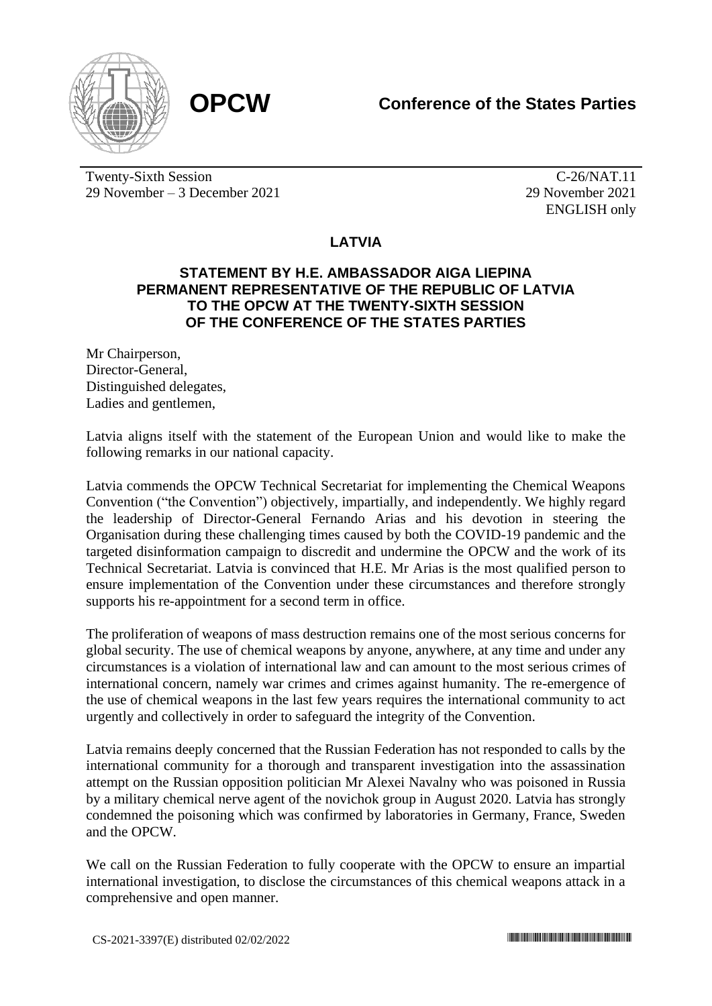



Twenty-Sixth Session 29 November – 3 December 2021

C-26/NAT.11 29 November 2021 ENGLISH only

## **LATVIA**

## **STATEMENT BY H.E. AMBASSADOR AIGA LIEPINA PERMANENT REPRESENTATIVE OF THE REPUBLIC OF LATVIA TO THE OPCW AT THE TWENTY-SIXTH SESSION OF THE CONFERENCE OF THE STATES PARTIES**

Mr Chairperson, Director-General, Distinguished delegates, Ladies and gentlemen,

Latvia aligns itself with the statement of the European Union and would like to make the following remarks in our national capacity.

Latvia commends the OPCW Technical Secretariat for implementing the Chemical Weapons Convention ("the Convention") objectively, impartially, and independently. We highly regard the leadership of Director-General Fernando Arias and his devotion in steering the Organisation during these challenging times caused by both the COVID-19 pandemic and the targeted disinformation campaign to discredit and undermine the OPCW and the work of its Technical Secretariat. Latvia is convinced that H.E. Mr Arias is the most qualified person to ensure implementation of the Convention under these circumstances and therefore strongly supports his re-appointment for a second term in office.

The proliferation of weapons of mass destruction remains one of the most serious concerns for global security. The use of chemical weapons by anyone, anywhere, at any time and under any circumstances is a violation of international law and can amount to the most serious crimes of international concern, namely war crimes and crimes against humanity. The re-emergence of the use of chemical weapons in the last few years requires the international community to act urgently and collectively in order to safeguard the integrity of the Convention.

Latvia remains deeply concerned that the Russian Federation has not responded to calls by the international community for a thorough and transparent investigation into the assassination attempt on the Russian opposition politician Mr Alexei Navalny who was poisoned in Russia by a military chemical nerve agent of the novichok group in August 2020. Latvia has strongly condemned the poisoning which was confirmed by laboratories in Germany, France, Sweden and the OPCW.

We call on the Russian Federation to fully cooperate with the OPCW to ensure an impartial international investigation, to disclose the circumstances of this chemical weapons attack in a comprehensive and open manner.